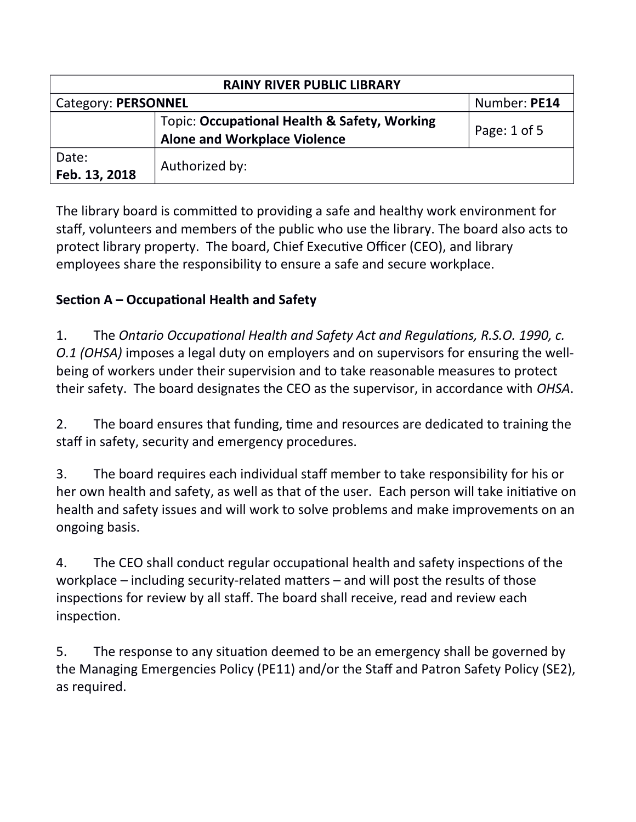| <b>RAINY RIVER PUBLIC LIBRARY</b> |                                                                                     |              |  |  |
|-----------------------------------|-------------------------------------------------------------------------------------|--------------|--|--|
| Category: PERSONNEL               |                                                                                     | Number: PE14 |  |  |
|                                   | Topic: Occupational Health & Safety, Working<br><b>Alone and Workplace Violence</b> | Page: 1 of 5 |  |  |
| Date:<br>Feb. 13, 2018            | Authorized by:                                                                      |              |  |  |

The library board is commited to providing a safe and healthy work environment for staff, volunteers and members of the public who use the library. The board also acts to protect library property. The board, Chief Executive Officer (CEO), and library employees share the responsibility to ensure a safe and secure workplace

## **Section A – Occupational Health and Safety**

1 The *Ontario Occupatonal Health and Safety Act and Regulatons, R.S.O. 1990, c. O.1 (OHSA)* imposes a legal duty on employers and on supervisors for ensuring the wellbeing of workers under their supervision and to take reasonable measures to protect their safety. The board designates the CEO as the supervisor, in accordance with *OHSA*.

2. The board ensures that funding, time and resources are dedicated to training the staff in safety, security and emergency procedures.

3. The board requires each individual staff member to take responsibility for his or her own health and safety, as well as that of the user. Each person will take initiative on health and safety issues and will work to solve problems and make improvements on an ongoing basis

4. The CEO shall conduct regular occupational health and safety inspections of the workplace – including security-related maters – and will post the results of those inspections for review by all staff. The board shall receive, read and review each inspection.

5. The response to any situation deemed to be an emergency shall be governed by the Managing Emergencies Policy (PE11) and/or the Staff and Patron Safety Policy (SE2), as required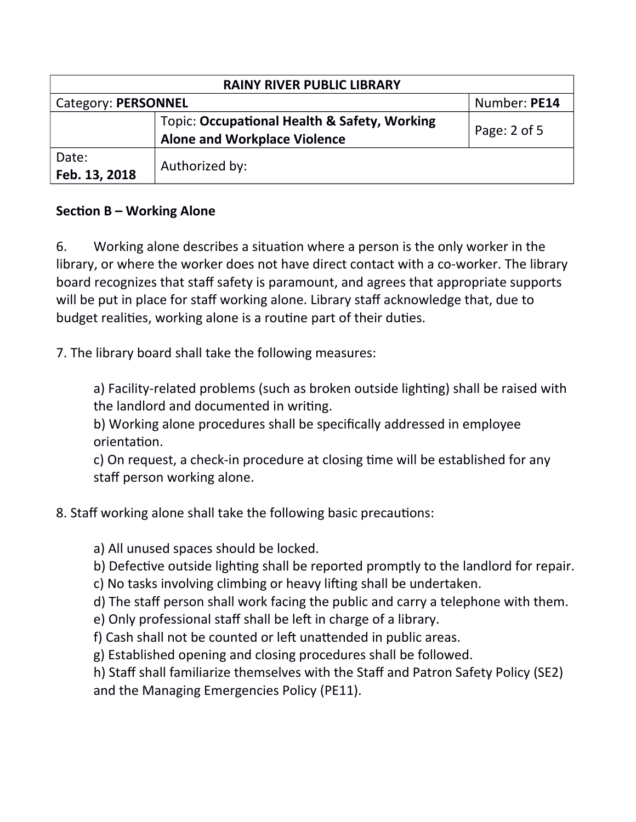| <b>RAINY RIVER PUBLIC LIBRARY</b> |                                                                                     |                |  |  |
|-----------------------------------|-------------------------------------------------------------------------------------|----------------|--|--|
| Category: PERSONNEL               |                                                                                     | Number: PE14   |  |  |
|                                   | Topic: Occupational Health & Safety, Working<br><b>Alone and Workplace Violence</b> | Page: $2$ of 5 |  |  |
| Date:<br>Feb. 13, 2018            | Authorized by:                                                                      |                |  |  |

## **Section B – Working Alone**

6. Working alone describes a situation where a person is the only worker in the library, or where the worker does not have direct contact with a co-worker. The library board recognizes that staff safety is paramount, and agrees that appropriate supports will be put in place for staff working alone. Library staff acknowledge that, due to budget realities, working alone is a routine part of their duties.

7. The library board shall take the following measures:

a) Facility-related problems (such as broken outside lighting) shall be raised with the landlord and documented in writing.

b) Working alone procedures shall be specifically addressed in employee orientation.

c) On request, a check-in procedure at closing time will be established for any staff person working alone.

- 8. Staff working alone shall take the following basic precautions:
	- a) All unused spaces should be locked.
	- b) Defective outside lighting shall be reported promptly to the landlord for repair.
	- c) No tasks involving climbing or heavy lifting shall be undertaken.
	- d) The staff person shall work facing the public and carry a telephone with them.
	- e) Only professional staff shall be left in charge of a library.
	- f) Cash shall not be counted or left unattended in public areas.
	- g) Established opening and closing procedures shall be followed.

h) Staff shall familiarize themselves with the Staff and Patron Safety Policy (SE2) and the Managing Emergencies Policy (PE11).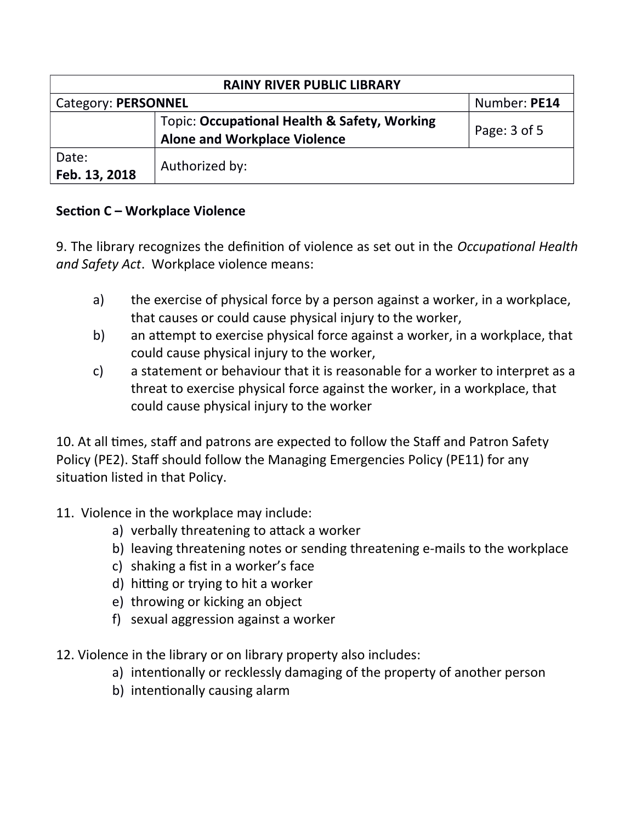| <b>RAINY RIVER PUBLIC LIBRARY</b> |                                                                                     |              |  |  |
|-----------------------------------|-------------------------------------------------------------------------------------|--------------|--|--|
| Category: PERSONNEL               |                                                                                     | Number: PE14 |  |  |
|                                   | Topic: Occupational Health & Safety, Working<br><b>Alone and Workplace Violence</b> | Page: 3 of 5 |  |  |
| Date:<br>Feb. 13, 2018            | Authorized by:                                                                      |              |  |  |

## **Section C – Workplace Violence**

9 The library recognizes the defniton of violence as set out in the *Occupatonal Health* and Safety Act. Workplace violence means:

- a) the exercise of physical force by a person against a worker, in a workplace, that causes or could cause physical injury to the worker,
- b) an attempt to exercise physical force against a worker, in a workplace, that could cause physical injury to the worker,
- $c$  a statement or behaviour that it is reasonable for a worker to interpret as a threat to exercise physical force against the worker, in a workplace, that could cause physical injury to the worker

10. At all times, staff and patrons are expected to follow the Staff and Patron Safety Policy (PE2). Staff should follow the Managing Emergencies Policy (PE11) for any situation listed in that Policy.

- 11. Violence in the workplace may include:
	- a) verbally threatening to attack a worker
	- b) leaving threatening notes or sending threatening e-mails to the workplace
	- c) shaking a fist in a worker's face
	- d) hitting or trying to hit a worker
	- e) throwing or kicking an object
	- f) sexual aggression against a worker
- 12. Violence in the library or on library property also includes:
	- a) intentionally or recklessly damaging of the property of another person
	- b) intentionally causing alarm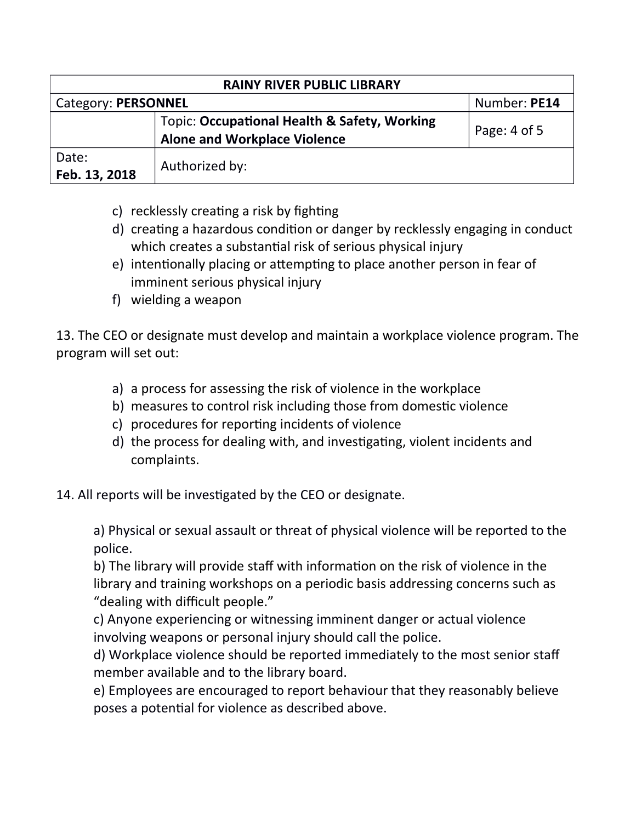| <b>RAINY RIVER PUBLIC LIBRARY</b> |                                                                                     |                |  |  |
|-----------------------------------|-------------------------------------------------------------------------------------|----------------|--|--|
| Category: PERSONNEL               |                                                                                     | Number: PE14   |  |  |
|                                   | Topic: Occupational Health & Safety, Working<br><b>Alone and Workplace Violence</b> | Page: $4$ of 5 |  |  |
| Date:<br>Feb. 13, 2018            | Authorized by:                                                                      |                |  |  |

- c) recklessly creating a risk by fighting
- d) creating a hazardous condition or danger by recklessly engaging in conduct which creates a substantial risk of serious physical injury
- e) intentionally placing or attempting to place another person in fear of imminent serious physical injury
- f) wielding a weapon

13. The CEO or designate must develop and maintain a workplace violence program. The program will set out:

- a) a process for assessing the risk of violence in the workplace
- b) measures to control risk including those from domestic violence
- c) procedures for reporting incidents of violence
- d) the process for dealing with, and investigating, violent incidents and complaints
- 14. All reports will be investigated by the CEO or designate.

a) Physical or sexual assault or threat of physical violence will be reported to the police

b) The library will provide staff with information on the risk of violence in the library and training workshops on a periodic basis addressing concerns such as "dealing with difficult people."

c) Anyone experiencing or witnessing imminent danger or actual violence involving weapons or personal injury should call the police

d) Workplace violence should be reported immediately to the most senior staff member available and to the library board

e) Employees are encouraged to report behaviour that they reasonably believe poses a potential for violence as described above.